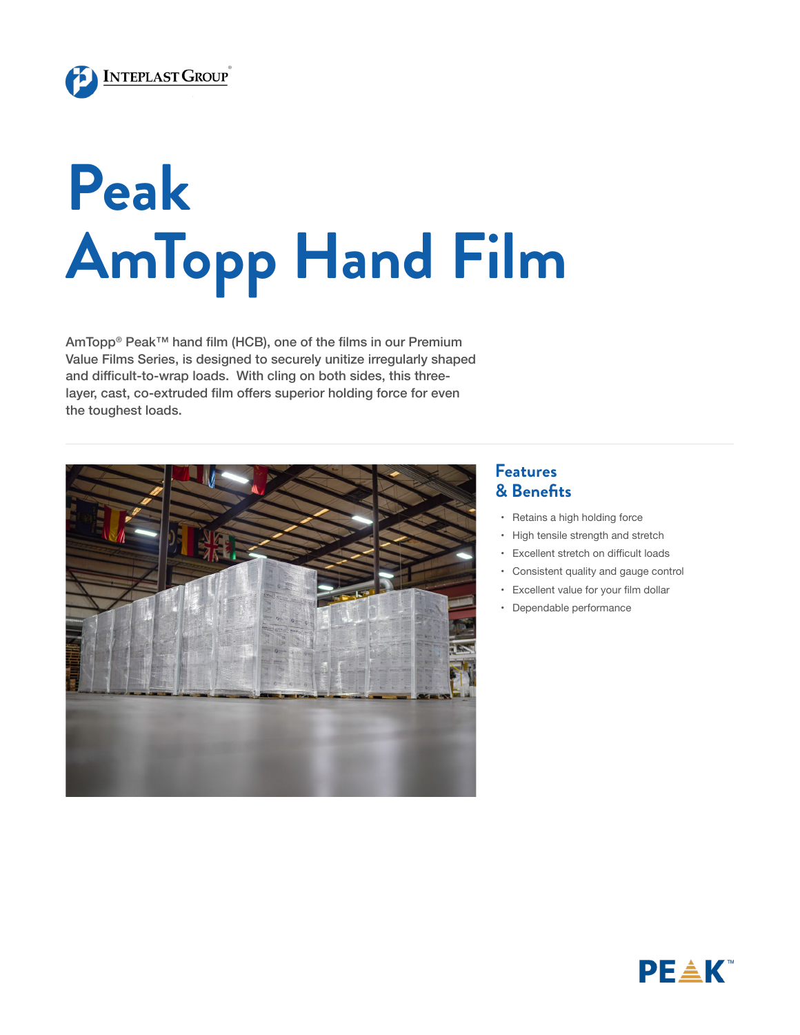

## **Peak AmTopp Hand Film**

AmTopp<sup>®</sup> Peak<sup>™</sup> hand film (HCB), one of the films in our Premium Value Films Series, is designed to securely unitize irregularly shaped and difficult-to-wrap loads. With cling on both sides, this threelayer, cast, co-extruded film offers superior holding force for even the toughest loads.



## **Features & Benefits**

- • Retains a high holding force
- • High tensile strength and stretch
- • Excellent stretch on difficult loads
- • Consistent quality and gauge control
- • Excellent value for your film dollar
- • Dependable performance